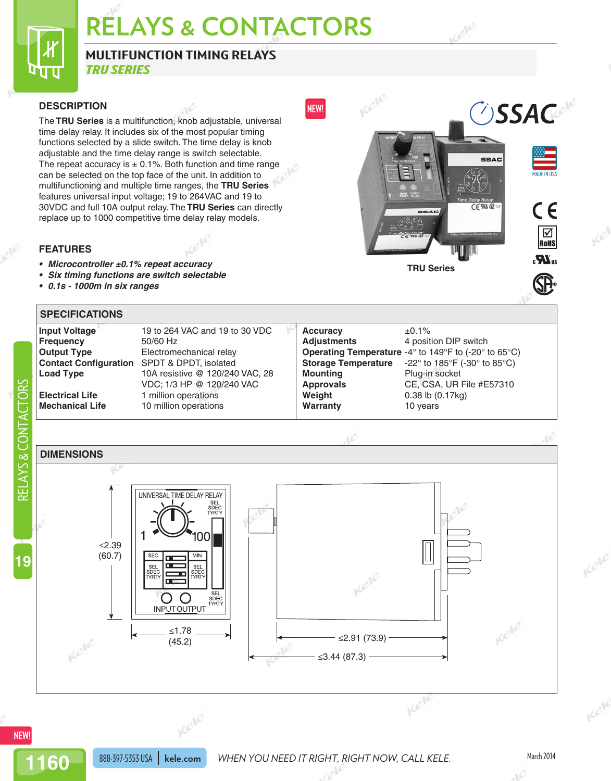# **RELAYS & CONTACTORS**

## **MULTIFUNCTION TIMING RELAYS**

*TRU SERIES*

#### **DESCRIPTION**

Π 11

The **TRU Series** is a multifunction, knob adjustable, universal time delay relay. It includes six of the most popular timing functions selected by a slide switch. The time delay is knob adjustable and the time delay range is switch selectable. The repeat accuracy is  $\pm$  0.1%. Both function and time range can be selected on the top face of the unit. In addition to multifunctioning and multiple time ranges, the **TRU Series** features universal input voltage; 19 to 264VAC and 19 to 30VDC and full 10A output relay. The **TRU Series** can directly replace up to 1000 competitive time delay relay models.

#### **FEATURES**

- *• Microcontroller ±0.1% repeat accuracy*
- *• Six timing functions are switch selectable*
- *• 0.1s 1000m in six ranges*



#### **SPECIFICATIONS**

| <b>Input Voltage</b>   | 19 to 264 VAC and 19 to 30 VDC                     | <b>Accuracy</b>            | $±0.1\%$                                                               |
|------------------------|----------------------------------------------------|----------------------------|------------------------------------------------------------------------|
| <b>Frequency</b>       | 50/60 Hz                                           | <b>Adjustments</b>         | 4 position DIP switch                                                  |
| <b>Output Type</b>     | Electromechanical relay                            |                            | <b>Operating Temperature -4° to 149°F to (-20° to 65°C)</b>            |
|                        | <b>Contact Configuration</b> SPDT & DPDT, isolated | <b>Storage Temperature</b> | -22 $^{\circ}$ to 185 $^{\circ}$ F (-30 $^{\circ}$ to 85 $^{\circ}$ C) |
| <b>Load Type</b>       | 10A resistive @ 120/240 VAC, 28                    | <b>Mounting</b>            | Plug-in socket                                                         |
|                        | VDC: 1/3 HP @ 120/240 VAC                          | <b>Approvals</b>           | CE, CSA, UR File #E57310                                               |
| <b>Electrical Life</b> | 1 million operations                               | Weight                     | $0.38$ lb $(0.17kg)$                                                   |
| <b>Mechanical Life</b> | 10 million operations                              | Warranty                   | 10 years                                                               |
|                        |                                                    |                            |                                                                        |

## RELAYS & CONTACTORS RELAYS & CON **DIMENSIONS** UNIVERSAL TIME DELAY RELAY ≤2.39 (60.7) **SEC** MIN **19** ю SEL<br>SDEC SDEC<br>TYRT **O O**<br>INP<u>UTOUTP</u>UT Kele ≤1.78 Kele ≤2.91 (73.9)(45.2) ≤3.44 (87.3)

**1160**